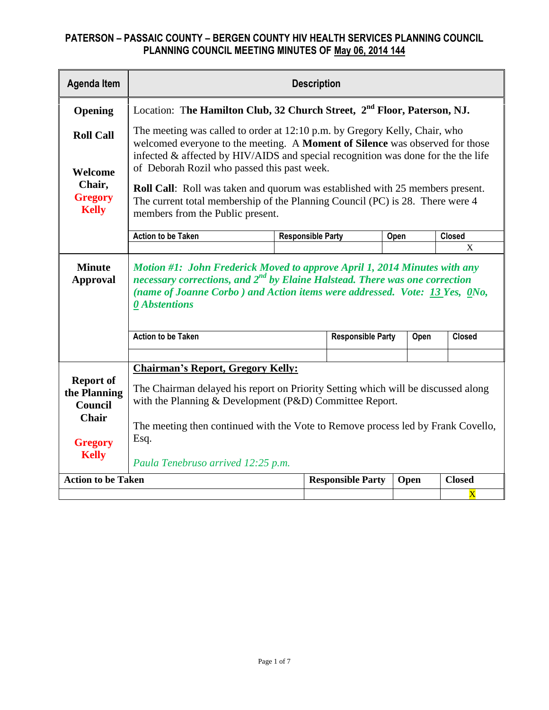| <b>Agenda Item</b>                                                                                   | <b>Description</b>                                                                                                                                                                                                                                                                                                                                                                                                                                                                                             |                          |                          |      |               |  |  |
|------------------------------------------------------------------------------------------------------|----------------------------------------------------------------------------------------------------------------------------------------------------------------------------------------------------------------------------------------------------------------------------------------------------------------------------------------------------------------------------------------------------------------------------------------------------------------------------------------------------------------|--------------------------|--------------------------|------|---------------|--|--|
| Opening                                                                                              | Location: The Hamilton Club, 32 Church Street, 2 <sup>nd</sup> Floor, Paterson, NJ.                                                                                                                                                                                                                                                                                                                                                                                                                            |                          |                          |      |               |  |  |
| <b>Roll Call</b><br>Welcome<br>Chair,<br><b>Gregory</b><br><b>Kelly</b>                              | The meeting was called to order at 12:10 p.m. by Gregory Kelly, Chair, who<br>welcomed everyone to the meeting. A Moment of Silence was observed for those<br>infected $\&$ affected by HIV/AIDS and special recognition was done for the the life<br>of Deborah Rozil who passed this past week.<br><b>Roll Call:</b> Roll was taken and quorum was established with 25 members present.<br>The current total membership of the Planning Council (PC) is 28. There were 4<br>members from the Public present. |                          |                          |      |               |  |  |
|                                                                                                      | <b>Action to be Taken</b>                                                                                                                                                                                                                                                                                                                                                                                                                                                                                      | <b>Responsible Party</b> |                          | Open | <b>Closed</b> |  |  |
|                                                                                                      |                                                                                                                                                                                                                                                                                                                                                                                                                                                                                                                |                          |                          |      | X             |  |  |
| <b>Minute</b><br><b>Approval</b>                                                                     | Motion #1: John Frederick Moved to approve April 1, 2014 Minutes with any<br>necessary corrections, and $2^{nd}$ by Elaine Halstead. There was one correction<br>(name of Joanne Corbo) and Action items were addressed. Vote: 13 Yes, 0No,<br><b><i><u>O</u></i></b> Abstentions                                                                                                                                                                                                                              |                          |                          |      |               |  |  |
|                                                                                                      | <b>Action to be Taken</b>                                                                                                                                                                                                                                                                                                                                                                                                                                                                                      |                          | <b>Responsible Party</b> | Open | <b>Closed</b> |  |  |
| <b>Report of</b><br>the Planning<br><b>Council</b><br><b>Chair</b><br><b>Gregory</b><br><b>Kelly</b> | <b>Chairman's Report, Gregory Kelly:</b><br>The Chairman delayed his report on Priority Setting which will be discussed along<br>with the Planning & Development (P&D) Committee Report.<br>The meeting then continued with the Vote to Remove process led by Frank Covello,<br>Esq.<br>Paula Tenebruso arrived 12:25 p.m.                                                                                                                                                                                     |                          |                          |      |               |  |  |
| <b>Action to be Taken</b>                                                                            |                                                                                                                                                                                                                                                                                                                                                                                                                                                                                                                |                          | <b>Responsible Party</b> | Open | <b>Closed</b> |  |  |
|                                                                                                      | X                                                                                                                                                                                                                                                                                                                                                                                                                                                                                                              |                          |                          |      |               |  |  |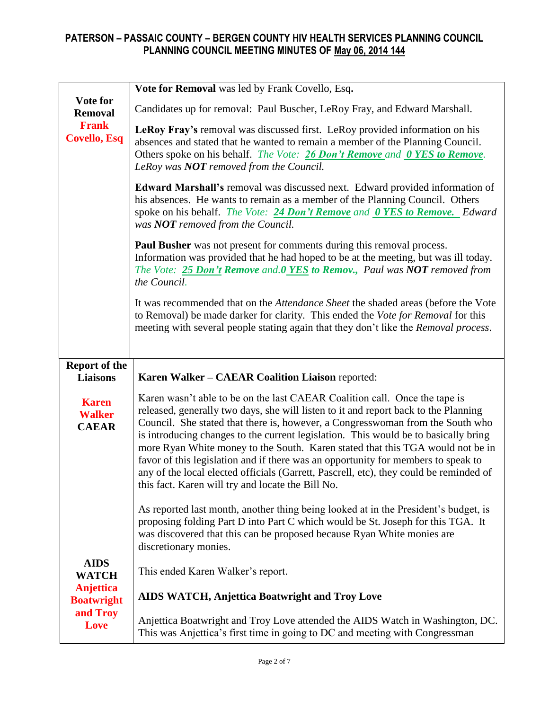| Vote for                                       | Vote for Removal was led by Frank Covello, Esq.                                                                                                                                                                                                                                                                                                                                                                                                                                                                                                                                                                                                                  |  |  |  |
|------------------------------------------------|------------------------------------------------------------------------------------------------------------------------------------------------------------------------------------------------------------------------------------------------------------------------------------------------------------------------------------------------------------------------------------------------------------------------------------------------------------------------------------------------------------------------------------------------------------------------------------------------------------------------------------------------------------------|--|--|--|
| <b>Removal</b>                                 | Candidates up for removal: Paul Buscher, LeRoy Fray, and Edward Marshall.                                                                                                                                                                                                                                                                                                                                                                                                                                                                                                                                                                                        |  |  |  |
| <b>Frank</b><br><b>Covello, Esq</b>            | LeRoy Fray's removal was discussed first. LeRoy provided information on his<br>absences and stated that he wanted to remain a member of the Planning Council.<br>Others spoke on his behalf. The Vote: 26 Don't Remove and 0 YES to Remove.<br>LeRoy was NOT removed from the Council.                                                                                                                                                                                                                                                                                                                                                                           |  |  |  |
|                                                | Edward Marshall's removal was discussed next. Edward provided information of<br>his absences. He wants to remain as a member of the Planning Council. Others<br>spoke on his behalf. The Vote: 24 Don't Remove and 0 YES to Remove. Edward<br>was <b>NOT</b> removed from the Council.                                                                                                                                                                                                                                                                                                                                                                           |  |  |  |
|                                                | <b>Paul Busher</b> was not present for comments during this removal process.<br>Information was provided that he had hoped to be at the meeting, but was ill today.<br>The Vote: 25 Don't Remove and.0 YES to Remov., Paul was NOT removed from<br>the Council.                                                                                                                                                                                                                                                                                                                                                                                                  |  |  |  |
|                                                | It was recommended that on the <i>Attendance Sheet</i> the shaded areas (before the Vote<br>to Removal) be made darker for clarity. This ended the Vote for Removal for this<br>meeting with several people stating again that they don't like the Removal process.                                                                                                                                                                                                                                                                                                                                                                                              |  |  |  |
|                                                |                                                                                                                                                                                                                                                                                                                                                                                                                                                                                                                                                                                                                                                                  |  |  |  |
|                                                |                                                                                                                                                                                                                                                                                                                                                                                                                                                                                                                                                                                                                                                                  |  |  |  |
| <b>Report of the</b><br><b>Liaisons</b>        | Karen Walker - CAEAR Coalition Liaison reported:                                                                                                                                                                                                                                                                                                                                                                                                                                                                                                                                                                                                                 |  |  |  |
| <b>Karen</b><br><b>Walker</b><br><b>CAEAR</b>  | Karen wasn't able to be on the last CAEAR Coalition call. Once the tape is<br>released, generally two days, she will listen to it and report back to the Planning<br>Council. She stated that there is, however, a Congresswoman from the South who<br>is introducing changes to the current legislation. This would be to basically bring<br>more Ryan White money to the South. Karen stated that this TGA would not be in<br>favor of this legislation and if there was an opportunity for members to speak to<br>any of the local elected officials (Garrett, Pascrell, etc), they could be reminded of<br>this fact. Karen will try and locate the Bill No. |  |  |  |
|                                                | As reported last month, another thing being looked at in the President's budget, is<br>proposing folding Part D into Part C which would be St. Joseph for this TGA. It<br>was discovered that this can be proposed because Ryan White monies are<br>discretionary monies.                                                                                                                                                                                                                                                                                                                                                                                        |  |  |  |
| <b>AIDS</b>                                    | This ended Karen Walker's report.                                                                                                                                                                                                                                                                                                                                                                                                                                                                                                                                                                                                                                |  |  |  |
| <b>WATCH</b><br>Anjettica<br><b>Boatwright</b> | <b>AIDS WATCH, Anjettica Boatwright and Troy Love</b>                                                                                                                                                                                                                                                                                                                                                                                                                                                                                                                                                                                                            |  |  |  |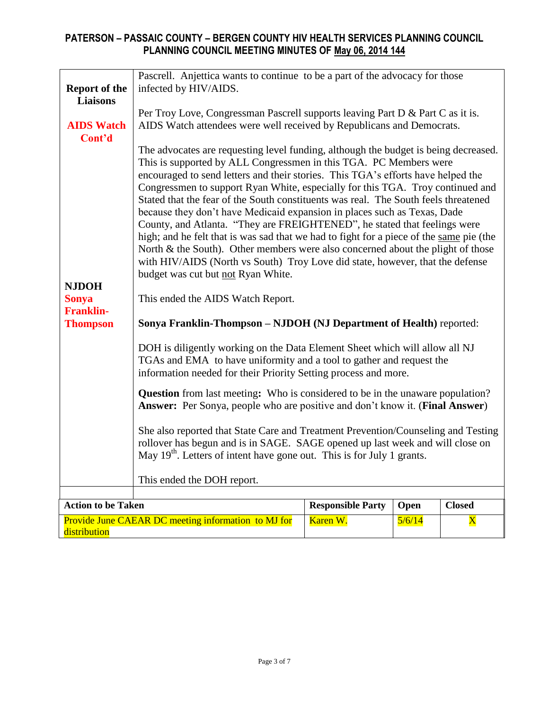|                                  | encouraged to send letters and their stories. This TGA's efforts have helped the                                                                                                                                                               |                                                                                                                                                                                                                                                   |      |               |  |  |  |  |
|----------------------------------|------------------------------------------------------------------------------------------------------------------------------------------------------------------------------------------------------------------------------------------------|---------------------------------------------------------------------------------------------------------------------------------------------------------------------------------------------------------------------------------------------------|------|---------------|--|--|--|--|
|                                  |                                                                                                                                                                                                                                                | Congressmen to support Ryan White, especially for this TGA. Troy continued and<br>Stated that the fear of the South constituents was real. The South feels threatened<br>because they don't have Medicaid expansion in places such as Texas, Dade |      |               |  |  |  |  |
|                                  | County, and Atlanta. "They are FREIGHTENED", he stated that feelings were                                                                                                                                                                      |                                                                                                                                                                                                                                                   |      |               |  |  |  |  |
|                                  | high; and he felt that is was sad that we had to fight for a piece of the same pie (the<br>North & the South). Other members were also concerned about the plight of those                                                                     |                                                                                                                                                                                                                                                   |      |               |  |  |  |  |
| <b>NJDOH</b>                     | with HIV/AIDS (North vs South) Troy Love did state, however, that the defense<br>budget was cut but not Ryan White.                                                                                                                            |                                                                                                                                                                                                                                                   |      |               |  |  |  |  |
| <b>Sonya</b><br><b>Franklin-</b> | This ended the AIDS Watch Report.                                                                                                                                                                                                              |                                                                                                                                                                                                                                                   |      |               |  |  |  |  |
| <b>Thompson</b>                  | Sonya Franklin-Thompson - NJDOH (NJ Department of Health) reported:                                                                                                                                                                            |                                                                                                                                                                                                                                                   |      |               |  |  |  |  |
|                                  | DOH is diligently working on the Data Element Sheet which will allow all NJ<br>TGAs and EMA to have uniformity and a tool to gather and request the<br>information needed for their Priority Setting process and more.                         |                                                                                                                                                                                                                                                   |      |               |  |  |  |  |
|                                  | <b>Question</b> from last meeting: Who is considered to be in the unaware population?<br>Answer: Per Sonya, people who are positive and don't know it. (Final Answer)                                                                          |                                                                                                                                                                                                                                                   |      |               |  |  |  |  |
|                                  | She also reported that State Care and Treatment Prevention/Counseling and Testing<br>rollover has begun and is in SAGE. SAGE opened up last week and will close on<br>May $19th$ . Letters of intent have gone out. This is for July 1 grants. |                                                                                                                                                                                                                                                   |      |               |  |  |  |  |
|                                  | This ended the DOH report.                                                                                                                                                                                                                     |                                                                                                                                                                                                                                                   |      |               |  |  |  |  |
|                                  |                                                                                                                                                                                                                                                |                                                                                                                                                                                                                                                   |      |               |  |  |  |  |
| <b>Action to be Taken</b>        |                                                                                                                                                                                                                                                | <b>Responsible Party</b>                                                                                                                                                                                                                          | Open | <b>Closed</b> |  |  |  |  |
| distribution                     | Karen W.<br>Provide June CAEAR DC meeting information to MJ for<br>5/6/14<br>$\mathbf X$                                                                                                                                                       |                                                                                                                                                                                                                                                   |      |               |  |  |  |  |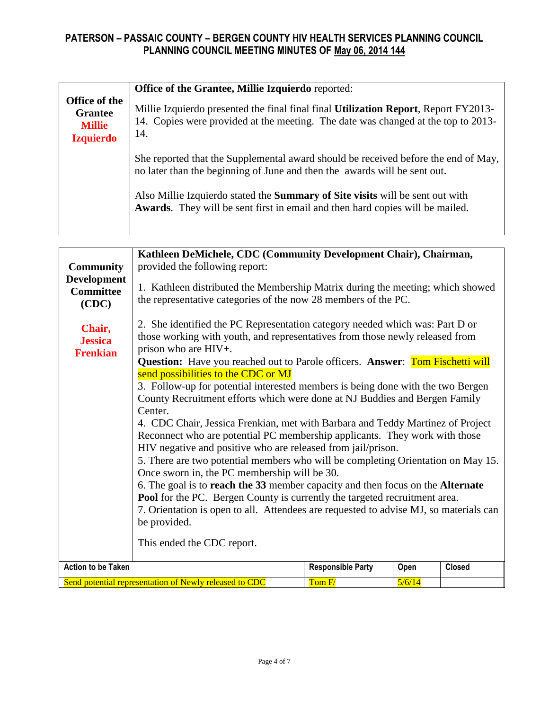|                                                                      | Office of the Grantee, Millie Izquierdo reported:                                                                                                                               |  |  |  |
|----------------------------------------------------------------------|---------------------------------------------------------------------------------------------------------------------------------------------------------------------------------|--|--|--|
| Office of the<br><b>Grantee</b><br><b>Millie</b><br><b>Izquierdo</b> | Millie Izquierdo presented the final final final Utilization Report, Report FY2013-<br>14. Copies were provided at the meeting. The date was changed at the top to 2013-<br>14. |  |  |  |
|                                                                      | She reported that the Supplemental award should be received before the end of May,<br>no later than the beginning of June and then the awards will be sent out.                 |  |  |  |
|                                                                      | Also Millie Izquierdo stated the Summary of Site visits will be sent out with<br><b>Awards.</b> They will be sent first in email and then hard copies will be mailed.           |  |  |  |

| <b>Community</b><br><b>Development</b><br><b>Committee</b><br>(CDC)<br>Chair,<br><b>Jessica</b><br><b>Frenkian</b>                                           | Kathleen DeMichele, CDC (Community Development Chair), Chairman,<br>provided the following report:<br>1. Kathleen distributed the Membership Matrix during the meeting; which showed<br>the representative categories of the now 28 members of the PC.<br>2. She identified the PC Representation category needed which was: Part D or<br>those working with youth, and representatives from those newly released from<br>prison who are HIV+.<br><b>Question:</b> Have you reached out to Parole officers. <b>Answer</b> : <b>Tom Fischetti will</b><br>send possibilities to the CDC or MJ<br>3. Follow-up for potential interested members is being done with the two Bergen<br>County Recruitment efforts which were done at NJ Buddies and Bergen Family<br>Center.<br>4. CDC Chair, Jessica Frenkian, met with Barbara and Teddy Martinez of Project<br>Reconnect who are potential PC membership applicants. They work with those |  |  |  |  |
|--------------------------------------------------------------------------------------------------------------------------------------------------------------|------------------------------------------------------------------------------------------------------------------------------------------------------------------------------------------------------------------------------------------------------------------------------------------------------------------------------------------------------------------------------------------------------------------------------------------------------------------------------------------------------------------------------------------------------------------------------------------------------------------------------------------------------------------------------------------------------------------------------------------------------------------------------------------------------------------------------------------------------------------------------------------------------------------------------------------|--|--|--|--|
|                                                                                                                                                              | HIV negative and positive who are released from jail/prison.<br>5. There are two potential members who will be completing Orientation on May 15.<br>Once sworn in, the PC membership will be 30.<br>6. The goal is to reach the 33 member capacity and then focus on the Alternate<br><b>Pool</b> for the PC. Bergen County is currently the targeted recruitment area.<br>7. Orientation is open to all. Attendees are requested to advise MJ, so materials can<br>be provided.<br>This ended the CDC report.                                                                                                                                                                                                                                                                                                                                                                                                                           |  |  |  |  |
| <b>Action to be Taken</b><br><b>Responsible Party</b><br>Open<br><b>Closed</b><br>Send potential representation of Newly released to CDC<br>Tom F/<br>5/6/14 |                                                                                                                                                                                                                                                                                                                                                                                                                                                                                                                                                                                                                                                                                                                                                                                                                                                                                                                                          |  |  |  |  |
|                                                                                                                                                              |                                                                                                                                                                                                                                                                                                                                                                                                                                                                                                                                                                                                                                                                                                                                                                                                                                                                                                                                          |  |  |  |  |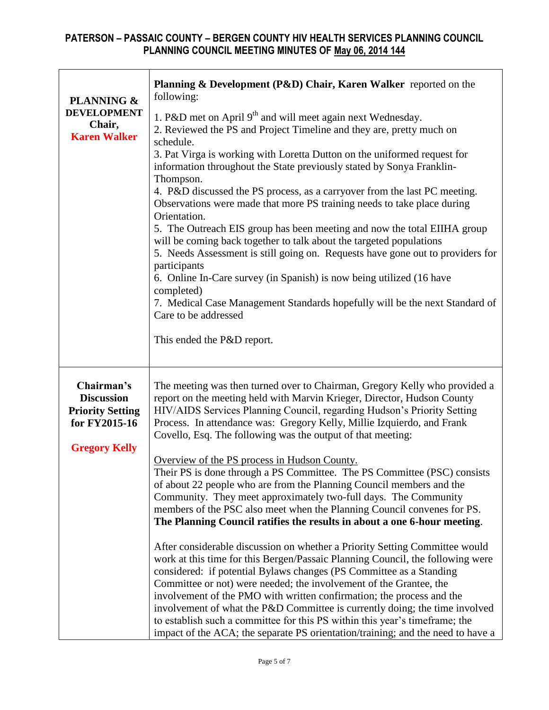| <b>PLANNING &amp;</b><br><b>DEVELOPMENT</b><br>Chair,<br><b>Karen Walker</b>                        | Planning & Development (P&D) Chair, Karen Walker reported on the<br>following:<br>1. P&D met on April 9 <sup>th</sup> and will meet again next Wednesday.<br>2. Reviewed the PS and Project Timeline and they are, pretty much on<br>schedule.<br>3. Pat Virga is working with Loretta Dutton on the uniformed request for<br>information throughout the State previously stated by Sonya Franklin-<br>Thompson.<br>4. P&D discussed the PS process, as a carryover from the last PC meeting.<br>Observations were made that more PS training needs to take place during<br>Orientation.<br>5. The Outreach EIS group has been meeting and now the total EIIHA group<br>will be coming back together to talk about the targeted populations<br>5. Needs Assessment is still going on. Requests have gone out to providers for<br>participants<br>6. Online In-Care survey (in Spanish) is now being utilized (16 have<br>completed)<br>7. Medical Case Management Standards hopefully will be the next Standard of<br>Care to be addressed<br>This ended the P&D report.                                                                                                                                                                                                                                                                                                                                                                        |
|-----------------------------------------------------------------------------------------------------|-------------------------------------------------------------------------------------------------------------------------------------------------------------------------------------------------------------------------------------------------------------------------------------------------------------------------------------------------------------------------------------------------------------------------------------------------------------------------------------------------------------------------------------------------------------------------------------------------------------------------------------------------------------------------------------------------------------------------------------------------------------------------------------------------------------------------------------------------------------------------------------------------------------------------------------------------------------------------------------------------------------------------------------------------------------------------------------------------------------------------------------------------------------------------------------------------------------------------------------------------------------------------------------------------------------------------------------------------------------------------------------------------------------------------------------------------|
| Chairman's<br><b>Discussion</b><br><b>Priority Setting</b><br>for FY2015-16<br><b>Gregory Kelly</b> | The meeting was then turned over to Chairman, Gregory Kelly who provided a<br>report on the meeting held with Marvin Krieger, Director, Hudson County<br>HIV/AIDS Services Planning Council, regarding Hudson's Priority Setting<br>Process. In attendance was: Gregory Kelly, Millie Izquierdo, and Frank<br>Covello, Esq. The following was the output of that meeting:<br>Overview of the PS process in Hudson County.<br>Their PS is done through a PS Committee. The PS Committee (PSC) consists<br>of about 22 people who are from the Planning Council members and the<br>Community. They meet approximately two-full days. The Community<br>members of the PSC also meet when the Planning Council convenes for PS.<br>The Planning Council ratifies the results in about a one 6-hour meeting.<br>After considerable discussion on whether a Priority Setting Committee would<br>work at this time for this Bergen/Passaic Planning Council, the following were<br>considered: if potential Bylaws changes (PS Committee as a Standing<br>Committee or not) were needed; the involvement of the Grantee, the<br>involvement of the PMO with written confirmation; the process and the<br>involvement of what the P&D Committee is currently doing; the time involved<br>to establish such a committee for this PS within this year's timeframe; the<br>impact of the ACA; the separate PS orientation/training; and the need to have a |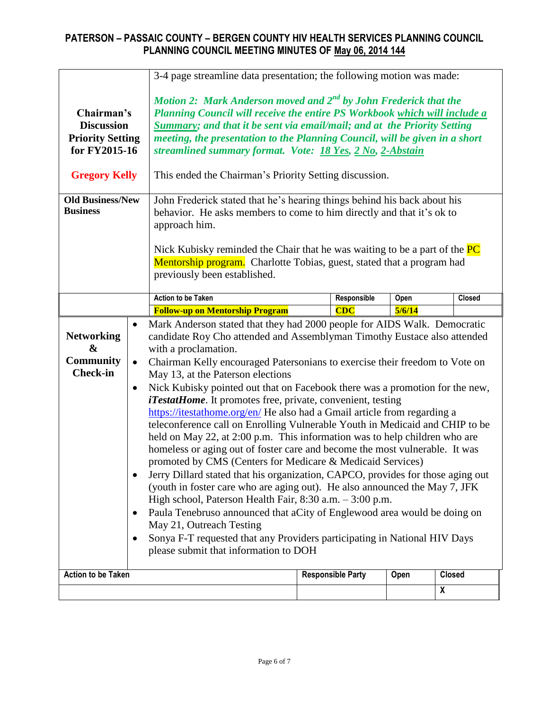|                                                                               |                                     | 3-4 page streamline data presentation; the following motion was made:                                                                                                                                                                                                                                                                                                                                                                                                                                                                                                                                                                                                                                                                                                                                                                                                                                                                                                                                                                                                                                                                                                                                                                                                                                     |  |                          |        |               |  |
|-------------------------------------------------------------------------------|-------------------------------------|-----------------------------------------------------------------------------------------------------------------------------------------------------------------------------------------------------------------------------------------------------------------------------------------------------------------------------------------------------------------------------------------------------------------------------------------------------------------------------------------------------------------------------------------------------------------------------------------------------------------------------------------------------------------------------------------------------------------------------------------------------------------------------------------------------------------------------------------------------------------------------------------------------------------------------------------------------------------------------------------------------------------------------------------------------------------------------------------------------------------------------------------------------------------------------------------------------------------------------------------------------------------------------------------------------------|--|--------------------------|--------|---------------|--|
| Chairman's<br><b>Discussion</b><br><b>Priority Setting</b><br>for FY2015-16   |                                     | Motion 2: Mark Anderson moved and $2^{nd}$ by John Frederick that the<br>Planning Council will receive the entire PS Workbook which will include a<br>Summary; and that it be sent via email/mail; and at the Priority Setting<br>meeting, the presentation to the Planning Council, will be given in a short<br>streamlined summary format. Vote: 18 Yes, 2 No, 2-Abstain                                                                                                                                                                                                                                                                                                                                                                                                                                                                                                                                                                                                                                                                                                                                                                                                                                                                                                                                |  |                          |        |               |  |
| <b>Gregory Kelly</b>                                                          |                                     | This ended the Chairman's Priority Setting discussion.                                                                                                                                                                                                                                                                                                                                                                                                                                                                                                                                                                                                                                                                                                                                                                                                                                                                                                                                                                                                                                                                                                                                                                                                                                                    |  |                          |        |               |  |
| <b>Old Business/New</b><br><b>Business</b>                                    |                                     | John Frederick stated that he's hearing things behind his back about his<br>behavior. He asks members to come to him directly and that it's ok to<br>approach him.<br>Nick Kubisky reminded the Chair that he was waiting to be a part of the $PC$<br>Mentorship program. Charlotte Tobias, guest, stated that a program had<br>previously been established.                                                                                                                                                                                                                                                                                                                                                                                                                                                                                                                                                                                                                                                                                                                                                                                                                                                                                                                                              |  |                          |        |               |  |
|                                                                               |                                     | <b>Action to be Taken</b>                                                                                                                                                                                                                                                                                                                                                                                                                                                                                                                                                                                                                                                                                                                                                                                                                                                                                                                                                                                                                                                                                                                                                                                                                                                                                 |  | Responsible              | Open   | <b>Closed</b> |  |
|                                                                               |                                     | <b>Follow-up on Mentorship Program</b>                                                                                                                                                                                                                                                                                                                                                                                                                                                                                                                                                                                                                                                                                                                                                                                                                                                                                                                                                                                                                                                                                                                                                                                                                                                                    |  | CDC                      | 5/6/14 |               |  |
| <b>Networking</b><br>$\boldsymbol{\&}$<br><b>Community</b><br><b>Check-in</b> | $\bullet$<br>$\bullet$<br>$\bullet$ | Mark Anderson stated that they had 2000 people for AIDS Walk. Democratic<br>candidate Roy Cho attended and Assemblyman Timothy Eustace also attended<br>with a proclamation.<br>Chairman Kelly encouraged Patersonians to exercise their freedom to Vote on<br>May 13, at the Paterson elections<br>Nick Kubisky pointed out that on Facebook there was a promotion for the new,<br><i>iTestatHome</i> . It promotes free, private, convenient, testing<br>https://itestathome.org/en/ He also had a Gmail article from regarding a<br>teleconference call on Enrolling Vulnerable Youth in Medicaid and CHIP to be<br>held on May 22, at 2:00 p.m. This information was to help children who are<br>homeless or aging out of foster care and become the most vulnerable. It was<br>promoted by CMS (Centers for Medicare & Medicaid Services)<br>Jerry Dillard stated that his organization, CAPCO, provides for those aging out<br>(youth in foster care who are aging out). He also announced the May 7, JFK<br>High school, Paterson Health Fair, 8:30 a.m. - 3:00 p.m.<br>Paula Tenebruso announced that aCity of Englewood area would be doing on<br>May 21, Outreach Testing<br>Sonya F-T requested that any Providers participating in National HIV Days<br>please submit that information to DOH |  |                          |        |               |  |
| <b>Action to be Taken</b>                                                     |                                     |                                                                                                                                                                                                                                                                                                                                                                                                                                                                                                                                                                                                                                                                                                                                                                                                                                                                                                                                                                                                                                                                                                                                                                                                                                                                                                           |  | <b>Responsible Party</b> | Open   | <b>Closed</b> |  |
|                                                                               | $\boldsymbol{X}$                    |                                                                                                                                                                                                                                                                                                                                                                                                                                                                                                                                                                                                                                                                                                                                                                                                                                                                                                                                                                                                                                                                                                                                                                                                                                                                                                           |  |                          |        |               |  |